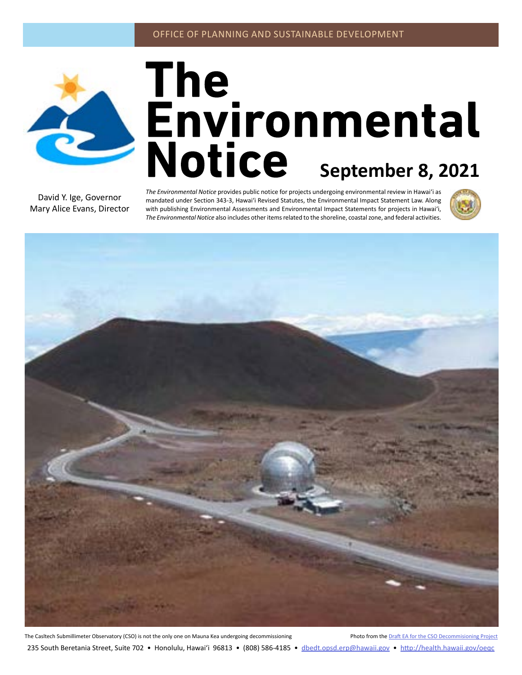

# The<br>**Environmental**<br>Notice <sub>September 8, 2021</sub>

David Y. Ige, Governor Mary Alice Evans, Director *The Environmental Notice* provides public notice for projects undergoing environmental review in Hawaiʻi as mandated under Section 343-3, Hawaiʻi Revised Statutes, the Environmental Impact Statement Law. Along with publishing Environmental Assessments and Environmental Impact Statements for projects in Hawaiʻi, *The Environmental Notice* also includes other items related to the shoreline, coastal zone, and federal activities.





The Casltech Submillimeter Observatory (CSO) is not the only one on Mauna Kea undergoing decommissioning Project Photo from the [Draft EA for the CSO Decommisioning Project](#page-2-0) 235 South Beretania Street, Suite 702 • Honolulu, Hawai'i 96813 • (808) 586-4185 • dbedt.opsd.erp[@hawaii.gov](mailto:dbedt.opsd.erp%40hawaii.gov?subject=) • <http://health.hawaii.gov/oeqc>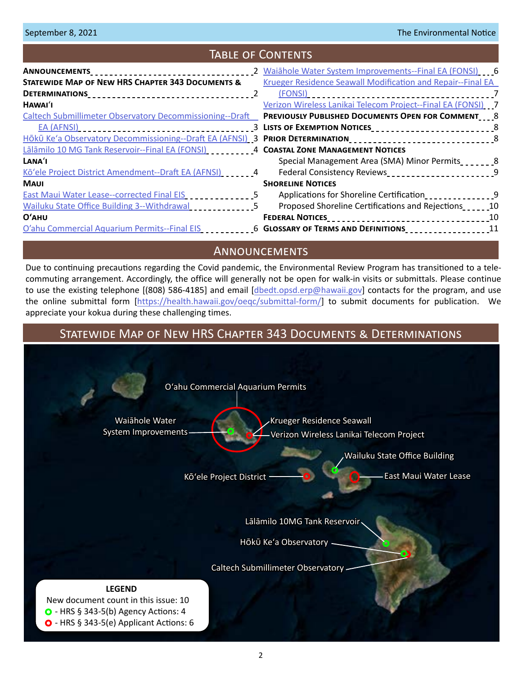# Table of Contents

| ANNOUNCEMENTS___________________________________<br><b>STATEWIDE MAP OF NEW HRS CHAPTER 343 DOCUMENTS &amp;</b><br>Krueger Residence Seawall Modification and Repair--Final EA |     |
|--------------------------------------------------------------------------------------------------------------------------------------------------------------------------------|-----|
|                                                                                                                                                                                |     |
|                                                                                                                                                                                |     |
| Verizon Wireless Lanikai Telecom Project--Final EA (FONSI) 7<br>HAWAI'I                                                                                                        |     |
| <b>Caltech Submillimeter Observatory Decommissioning--Draft</b><br><b>PREVIOUSLY PUBLISHED DOCUMENTS OPEN FOR COMMENT 8</b>                                                    |     |
| 3 LISTS OF EXEMPTION NOTICES <b>SERVICES</b>                                                                                                                                   |     |
| Hōkū Ke'a Observatory Decommissioning--Draft EA (AFNSI) 3 PRIOR DETERMINATION <sub>222222</sub> 2222222222222222223                                                            |     |
| Lālāmilo 10 MG Tank Reservoir--Final EA (FONSI)<br>4 COASTAL ZONE MANAGEMENT NOTICES                                                                                           |     |
| LANA'I<br>Special Management Area (SMA) Minor Permits                                                                                                                          |     |
| Kō'ele Project District Amendment--Draft EA (AFNSI) 4<br>Federal Consistency Reviews <sub>2</sub> 22222222222222222222                                                         |     |
| <b>SHORELINE NOTICES</b><br><b>MAUI</b>                                                                                                                                        |     |
| Applications for Shoreline Certification<br>East Maui Water Lease--corrected Final EIS 5                                                                                       |     |
| Proposed Shoreline Certifications and Rejections<br>Wailuku State Office Building 3--Withdrawal                                                                                |     |
| O'AHU<br><b>FEDERAL NOTICES</b>                                                                                                                                                |     |
| O'ahu Commercial Aquarium Permits--Final EIS____________6 GLOSSARY OF TERMS AND DEFINITIONS__________________                                                                  | -11 |

## **ANNOUNCEMENTS**

Due to continuing precautions regarding the Covid pandemic, the Environmental Review Program has transitioned to a telecommuting arrangement. Accordingly, the office will generally not be open for walk-in visits or submittals. Please continue to use the existing telephone [(808) 586-4185] and email [dbedt.opsd.erp@[hawaii.gov\]](mailto:dbedt.opsd.erp%40hawaii.gov?subject=) contacts for the program, and use the online submittal form [\[https://health.hawaii.gov/oeqc/submittal-form/\]](https://health.hawaii.gov/oeqc/submittal-form/ ) to submit documents for publication. We appreciate your kokua during these challenging times.

# Statewide Map of New HRS Chapter 343 Documents & Determinations

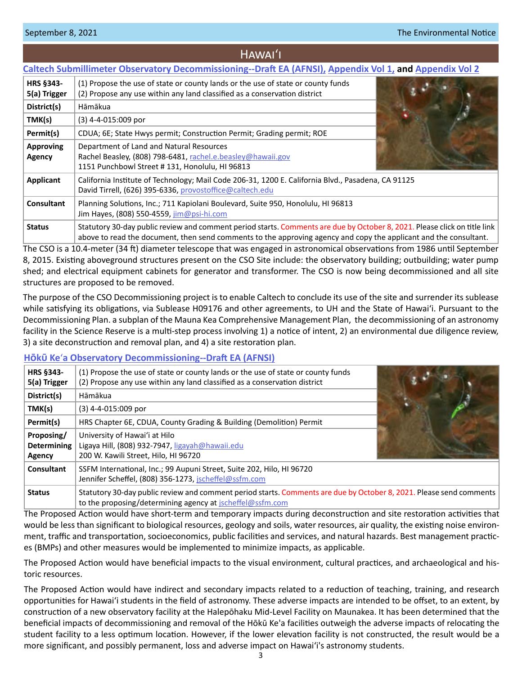# Hawaiʻi

#### <span id="page-2-0"></span>**[Caltech Submillimeter Observatory Decommissioning--Draft EA \(AFNSI\),](http://oeqc2.doh.hawaii.gov/Doc_Library/2021-09-08-HA-DEA-Caltech-Submillimeter-Observatory-Decommissioning.pdf) [Appendix Vol 1,](http://oeqc2.doh.hawaii.gov/Doc_Library/2021-09-08-HA-DEA-Caltech-Submillimeter-Observatory-Decommissioning-Appendix-Vol-1.pdf) and [Appendix Vol 2](http://oeqc2.doh.hawaii.gov/Doc_Library/2021-09-08-HA-DEA-Caltech-Submillimeter-Observatory-Decommissioning-Appendix-Vol-2.pdf)**

| <b>HRS §343-</b><br>5(a) Trigger | (1) Propose the use of state or county lands or the use of state or county funds<br>(2) Propose any use within any land classified as a conservation district                                                                                  |  |
|----------------------------------|------------------------------------------------------------------------------------------------------------------------------------------------------------------------------------------------------------------------------------------------|--|
| District(s)                      | Hāmākua                                                                                                                                                                                                                                        |  |
| TMK(s)                           | $(3)$ 4-4-015:009 por                                                                                                                                                                                                                          |  |
| Permit(s)                        | CDUA; 6E; State Hwys permit; Construction Permit; Grading permit; ROE                                                                                                                                                                          |  |
| <b>Approving</b><br>Agency       | Department of Land and Natural Resources<br>Rachel Beasley, (808) 798-6481, rachel.e.beasley@hawaii.gov<br>1151 Punchbowl Street #131, Honolulu, HI 96813                                                                                      |  |
| Applicant                        | California Institute of Technology; Mail Code 206-31, 1200 E. California Blvd., Pasadena, CA 91125<br>David Tirrell, (626) 395-6336, provostoffice@caltech.edu                                                                                 |  |
| <b>Consultant</b>                | Planning Solutions, Inc.; 711 Kapiolani Boulevard, Suite 950, Honolulu, HI 96813<br>Jim Hayes, (808) 550-4559, jim@psi-hi.com                                                                                                                  |  |
| <b>Status</b>                    | Statutory 30-day public review and comment period starts. Comments are due by October 8, 2021. Please click on title link<br>above to read the document, then send comments to the approving agency and copy the applicant and the consultant. |  |

The CSO is a 10.4-meter (34 ft) diameter telescope that was engaged in astronomical observations from 1986 until September 8, 2015. Existing aboveground structures present on the CSO Site include: the observatory building; outbuilding; water pump shed; and electrical equipment cabinets for generator and transformer. The CSO is now being decommissioned and all site structures are proposed to be removed.

The purpose of the CSO Decommissioning project is to enable Caltech to conclude its use of the site and surrender its sublease while satisfying its obligations, via Sublease H09176 and other agreements, to UH and the State of Hawaiʻi. Pursuant to the Decommissioning Plan. a subplan of the Mauna Kea Comprehensive Management Plan, the decommissioning of an astronomy facility in the Science Reserve is a multi-step process involving 1) a notice of intent, 2) an environmental due diligence review, 3) a site deconstruction and removal plan, and 4) a site restoration plan.

#### **H�k� Ke**ʻ**[a Observatory Decommissioning--Draft EA \(AFNSI\)](http://oeqc2.doh.hawaii.gov/Doc_Library/2021-09-08-HA-DEA-Hoku-Kea-Observatory-Decommissioning.pdf)**

| <b>HRS §343-</b><br>5(a) Trigger           | (1) Propose the use of state or county lands or the use of state or county funds<br>(2) Propose any use within any land classified as a conservation district                    |  |
|--------------------------------------------|----------------------------------------------------------------------------------------------------------------------------------------------------------------------------------|--|
| District(s)                                | Hāmākua                                                                                                                                                                          |  |
| TMK(s)                                     | $(3)$ 4-4-015:009 por                                                                                                                                                            |  |
| Permit(s)                                  | HRS Chapter 6E, CDUA, County Grading & Building (Demolition) Permit                                                                                                              |  |
| Proposing/<br><b>Determining</b><br>Agency | University of Hawai'i at Hilo<br>Ligaya Hill, (808) 932-7947, ligayah@hawaii.edu<br>200 W. Kawili Street, Hilo, HI 96720                                                         |  |
| <b>Consultant</b>                          | SSFM International, Inc.; 99 Aupuni Street, Suite 202, Hilo, HI 96720<br>Jennifer Scheffel, (808) 356-1273, jscheffel@ssfm.com                                                   |  |
| <b>Status</b>                              | Statutory 30-day public review and comment period starts. Comments are due by October 8, 2021. Please send comments<br>to the proposing/determining agency at jscheffel@ssfm.com |  |

The Proposed Action would have short-term and temporary impacts during deconstruction and site restoration activities that would be less than significant to biological resources, geology and soils, water resources, air quality, the existing noise environment, traffic and transportation, socioeconomics, public facilities and services, and natural hazards. Best management practices (BMPs) and other measures would be implemented to minimize impacts, as applicable.

The Proposed Action would have beneficial impacts to the visual environment, cultural practices, and archaeological and historic resources.

The Proposed Action would have indirect and secondary impacts related to a reduction of teaching, training, and research opportunities for Hawai'i students in the field of astronomy. These adverse impacts are intended to be offset, to an extent, by construction of a new observatory facility at the Halepōhaku Mid-Level Facility on Maunakea. It has been determined that the beneficial impacts of decommissioning and removal of the Hōkū Ke'a facilities outweigh the adverse impacts of relocating the student facility to a less optimum location. However, if the lower elevation facility is not constructed, the result would be a more significant, and possibly permanent, loss and adverse impact on Hawai'i's astronomy students.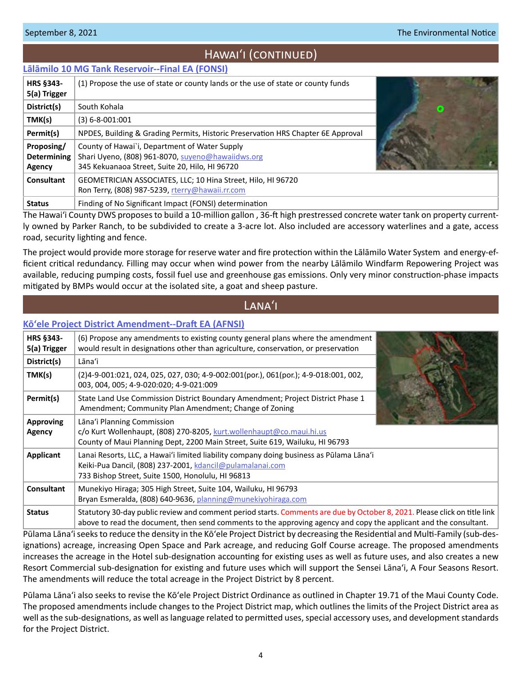# Hawaiʻi (continued)

## <span id="page-3-0"></span>**[Lālāmilo 10 MG Tank Reservoir--Final EA \(FONSI\)](http://oeqc2.doh.hawaii.gov/Doc_Library/2021-09-08-HA-FEA-Lalamilo-10-MG-Tank-Reservoir.pdf)**

| <b>HRS §343-</b><br>5(a) Trigger                  | (1) Propose the use of state or county lands or the use of state or county funds                                                                     |           |
|---------------------------------------------------|------------------------------------------------------------------------------------------------------------------------------------------------------|-----------|
| District(s)                                       | South Kohala                                                                                                                                         | $\bullet$ |
| TMK(s)                                            | $(3) 6 - 8 - 001:001$                                                                                                                                |           |
| Permit(s)                                         | NPDES, Building & Grading Permits, Historic Preservation HRS Chapter 6E Approval                                                                     |           |
| Proposing/<br><b>Determining</b><br><b>Agency</b> | County of Hawai'i, Department of Water Supply<br>Shari Uyeno, (808) 961-8070, suyeno@hawaiidws.org<br>345 Kekuanaoa Street, Suite 20, Hilo, HI 96720 |           |
| <b>Consultant</b>                                 | GEOMETRICIAN ASSOCIATES, LLC; 10 Hina Street, Hilo, HI 96720<br>Ron Terry, (808) 987-5239, rterry@hawaii.rr.com                                      |           |
| <b>Status</b>                                     | Finding of No Significant Impact (FONSI) determination                                                                                               |           |

The Hawai'i County DWS proposes to build a 10-million gallon , 36-ft high prestressed concrete water tank on property currently owned by Parker Ranch, to be subdivided to create a 3-acre lot. Also included are accessory waterlines and a gate, access road, security lighting and fence.

The project would provide more storage for reserve water and fire protection within the Lālāmilo Water System and energy-efficient critical redundancy. Filling may occur when wind power from the nearby Lālāmilo Windfarm Repowering Project was available, reducing pumping costs, fossil fuel use and greenhouse gas emissions. Only very minor construction-phase impacts mitigated by BMPs would occur at the isolated site, a goat and sheep pasture.

# LANA<sup>'</sup>I

## **[Kōʻele Project District Amendment--Draft EA \(AFNSI\)](http://oeqc2.doh.hawaii.gov/Doc_Library/2021-09-08-LA-DEA-Koele-Project-District-Amendment.pdf)**

| <b>HRS §343-</b><br>5(a) Trigger | (6) Propose any amendments to existing county general plans where the amendment<br>would result in designations other than agriculture, conservation, or preservation                                                                          |  |
|----------------------------------|------------------------------------------------------------------------------------------------------------------------------------------------------------------------------------------------------------------------------------------------|--|
| District(s)                      | Lāna'i                                                                                                                                                                                                                                         |  |
| TMK(s)                           | (2)4-9-001:021, 024, 025, 027, 030; 4-9-002:001(por.), 061(por.); 4-9-018:001, 002,<br>003, 004, 005; 4-9-020:020; 4-9-021:009                                                                                                                 |  |
| Permit(s)                        | State Land Use Commission District Boundary Amendment; Project District Phase 1<br>Amendment; Community Plan Amendment; Change of Zoning                                                                                                       |  |
| <b>Approving</b><br>Agency       | Lāna'i Planning Commission<br>c/o Kurt Wollenhaupt, (808) 270-8205, kurt.wollenhaupt@co.maui.hi.us<br>County of Maui Planning Dept, 2200 Main Street, Suite 619, Wailuku, HI 96793                                                             |  |
| Applicant                        | Lanai Resorts, LLC, a Hawai'i limited liability company doing business as Pūlama Lāna'i<br>Keiki-Pua Dancil, (808) 237-2001, kdancil@pulamalanai.com<br>733 Bishop Street, Suite 1500, Honolulu, HI 96813                                      |  |
| <b>Consultant</b>                | Munekiyo Hiraga; 305 High Street, Suite 104, Wailuku, HI 96793<br>Bryan Esmeralda, (808) 640-9636, planning@munekiyohiraga.com                                                                                                                 |  |
| <b>Status</b>                    | Statutory 30-day public review and comment period starts. Comments are due by October 8, 2021. Please click on title link<br>above to read the document, then send comments to the approving agency and copy the applicant and the consultant. |  |

Pūlama Lānaʻi seeks to reduce the density in the Kōʻele Project District by decreasing the Residential and Multi-Family (sub-designations) acreage, increasing Open Space and Park acreage, and reducing Golf Course acreage. The proposed amendments increases the acreage in the Hotel sub-designation accounting for existing uses as well as future uses, and also creates a new Resort Commercial sub-designation for existing and future uses which will support the Sensei Lānaʻi, A Four Seasons Resort. The amendments will reduce the total acreage in the Project District by 8 percent.

Pūlama Lānaʻi also seeks to revise the Kōʻele Project District Ordinance as outlined in Chapter 19.71 of the Maui County Code. The proposed amendments include changes to the Project District map, which outlines the limits of the Project District area as well as the sub-designations, as well as language related to permitted uses, special accessory uses, and development standards for the Project District.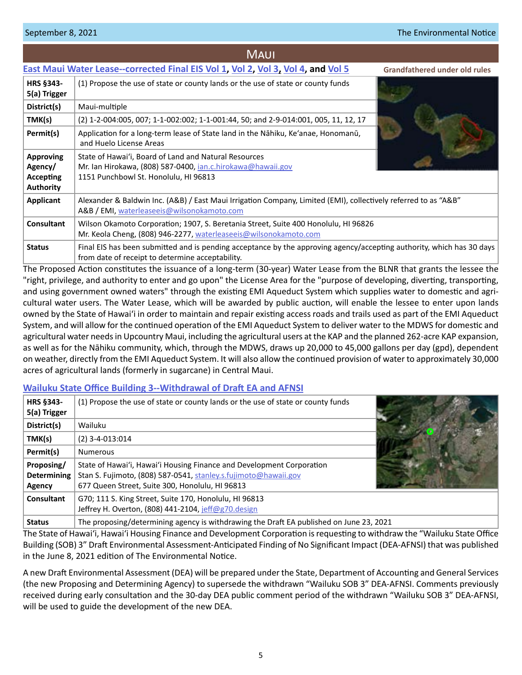#### <span id="page-4-0"></span>September 8, 2021 **The Environmental Notice**

|                                                                     | <b>MAUI</b>                                                                                                                                                               |                                      |
|---------------------------------------------------------------------|---------------------------------------------------------------------------------------------------------------------------------------------------------------------------|--------------------------------------|
|                                                                     | East Maui Water Lease--corrected Final EIS Vol 1, Vol 2, Vol 3, Vol 4, and Vol 5                                                                                          | <b>Grandfathered under old rules</b> |
| HRS §343-<br>5(a) Trigger                                           | (1) Propose the use of state or county lands or the use of state or county funds                                                                                          |                                      |
| District(s)                                                         | Maui-multiple                                                                                                                                                             |                                      |
| TMK(s)                                                              | (2) 1-2-004:005, 007; 1-1-002:002; 1-1-001:44, 50; and 2-9-014:001, 005, 11, 12, 17                                                                                       |                                      |
| Permit(s)                                                           | Application for a long-term lease of State land in the Nāhiku, Ke'anae, Honomanū,<br>and Huelo License Areas                                                              |                                      |
| <b>Approving</b><br>Agency/<br><b>Accepting</b><br><b>Authority</b> | State of Hawai'i, Board of Land and Natural Resources<br>Mr. Ian Hirokawa, (808) 587-0400, <i>ian.c.hirokawa@hawaii.gov</i><br>1151 Punchbowl St. Honolulu, HI 96813      |                                      |
| Applicant                                                           | Alexander & Baldwin Inc. (A&B) / East Maui Irrigation Company, Limited (EMI), collectively referred to as "A&B"<br>A&B / EMI, waterleaseeis@wilsonokamoto.com             |                                      |
| <b>Consultant</b>                                                   | Wilson Okamoto Corporation; 1907, S. Beretania Street, Suite 400 Honolulu, HI 96826<br>Mr. Keola Cheng, (808) 946-2277, waterleaseeis@wilsonokamoto.com                   |                                      |
| <b>Status</b>                                                       | Final EIS has been submitted and is pending acceptance by the approving agency/accepting authority, which has 30 days<br>from date of receipt to determine acceptability. |                                      |

The Proposed Action constitutes the issuance of a long-term (30-year) Water Lease from the BLNR that grants the lessee the "right, privilege, and authority to enter and go upon" the License Area for the "purpose of developing, diverting, transporting, and using government owned waters" through the existing EMI Aqueduct System which supplies water to domestic and agricultural water users. The Water Lease, which will be awarded by public auction, will enable the lessee to enter upon lands owned by the State of Hawai'i in order to maintain and repair existing access roads and trails used as part of the EMI Aqueduct System, and will allow for the continued operation of the EMI Aqueduct System to deliver water to the MDWS for domestic and agricultural water needs in Upcountry Maui, including the agricultural users at the KAP and the planned 262-acre KAP expansion, as well as for the Nāhiku community, which, through the MDWS, draws up 20,000 to 45,000 gallons per day (gpd), dependent on weather, directly from the EMI Aqueduct System. It will also allow the continued provision of water to approximately 30,000 acres of agricultural lands (formerly in sugarcane) in Central Maui.

#### **[Wailuku State Office Building 3--Withdrawal of Draft EA and AFNSI](http://oeqc2.doh.hawaii.gov/Doc_Library/2021-09-08-MA-Withdrawal-of-DEA-Wailuku-State-Office-Building-3.pdf)**

| <b>HRS §343-</b><br>5(a) Trigger                  | (1) Propose the use of state or county lands or the use of state or county funds                                                                                                            |  |
|---------------------------------------------------|---------------------------------------------------------------------------------------------------------------------------------------------------------------------------------------------|--|
| District(s)                                       | Wailuku                                                                                                                                                                                     |  |
| TMK(s)                                            | $(2)$ 3-4-013:014                                                                                                                                                                           |  |
| Permit(s)                                         | <b>Numerous</b>                                                                                                                                                                             |  |
| Proposing/<br><b>Determining</b><br><b>Agency</b> | State of Hawai'i, Hawai'i Housing Finance and Development Corporation<br>Stan S. Fujimoto, (808) 587-0541, stanley.s.fujimoto@hawaii.gov<br>677 Queen Street, Suite 300, Honolulu, HI 96813 |  |
| <b>Consultant</b>                                 | G70; 111 S. King Street, Suite 170, Honolulu, HI 96813<br>Jeffrey H. Overton, (808) 441-2104, jeff@g70.design                                                                               |  |
| <b>Status</b>                                     | The proposing/determining agency is withdrawing the Draft EA published on June 23, 2021                                                                                                     |  |

The State of Hawai'i, Hawaiʻi Housing Finance and Development Corporation is requesting to withdraw the "Wailuku State Office Building (SOB) 3" Draft Environmental Assessment-Anticipated Finding of No Significant Impact (DEA-AFNSI) that was published in the June 8, 2021 edition of The Environmental Notice.

A new Draft Environmental Assessment (DEA) will be prepared under the State, Department of Accounting and General Services (the new Proposing and Determining Agency) to supersede the withdrawn "Wailuku SOB 3" DEA-AFNSI. Comments previously received during early consultation and the 30-day DEA public comment period of the withdrawn "Wailuku SOB 3" DEA-AFNSI, will be used to guide the development of the new DEA.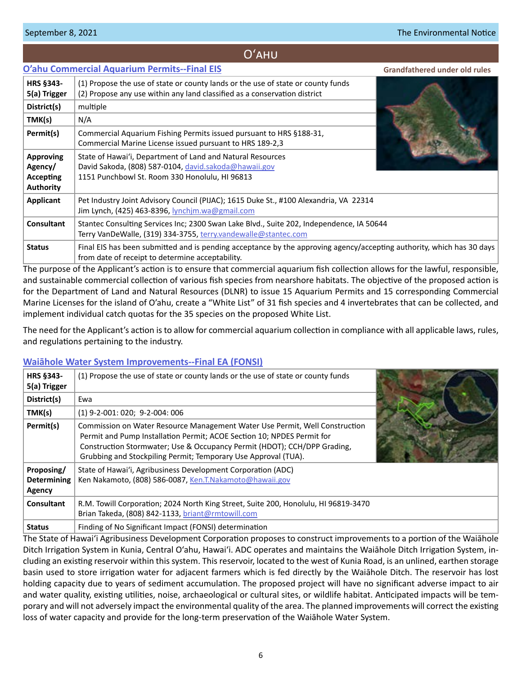#### <span id="page-5-0"></span>September 8, 2021 **The Environmental Notice**

#### **[O'ahu Commercial Aquarium Permits--Final EIS](http://oeqc2.doh.hawaii.gov/EA_EIS_Library/2021-09-08-OA-FEIS-Oahu-Commercial-Aquarium-Permits.pdf) HRS §343- 5(a) Trigger** (1) Propose the use of state or county lands or the use of state or county funds (2) Propose any use within any land classified as a conservation district **District(s)** multiple **TMK(s)**  $N/A$ **Permit(s)** Commercial Aquarium Fishing Permits issued pursuant to HRS §188-31, Commercial Marine License issued pursuant to HRS 189-2,3 **Approving Agency/ Accepting Authority** State of Hawaiʻi, Department of Land and Natural Resources David Sakoda, (808) 587-0104, david.sakoda[@hawaii.gov](mailto:david.sakoda%40hawaii.gov?subject=) 1151 Punchbowl St. Room 330 Honolulu, HI 96813 **Applicant** Pet Industry Joint Advisory Council (PIJAC); 1615 Duke St., #100 Alexandria, VA 22314 Jim Lynch, (425) 463-8396, [lynchjm.wa@gmail.com](mailto:lynchjm.wa%40gmail.com?subject=) **Consultant** Stantec Consulting Services Inc; 2300 Swan Lake Blvd., Suite 202, Independence, IA 50644 Terry VanDeWalle, (319) 334-3755, [terry.vandewalle@stantec.com](mailto:terry.vandewalle%40stantec.com?subject=) **Status** Final EIS has been submitted and is pending acceptance by the approving agency/accepting authority, which has 30 days from date of receipt to determine acceptability. Oʻahu **Grandfathered under old rules**

The purpose of the Applicant's action is to ensure that commercial aquarium fish collection allows for the lawful, responsible, and sustainable commercial collection of various fish species from nearshore habitats. The objective of the proposed action is for the Department of Land and Natural Resources (DLNR) to issue 15 Aquarium Permits and 15 corresponding Commercial Marine Licenses for the island of O'ahu, create a "White List" of 31 fish species and 4 invertebrates that can be collected, and implement individual catch quotas for the 35 species on the proposed White List.

The need for the Applicant's action is to allow for commercial aquarium collection in compliance with all applicable laws, rules, and regulations pertaining to the industry.

## **[Waiāhole Water System Improvements--Final EA \(FONSI\)](http://oeqc2.doh.hawaii.gov/Doc_Library/2021-09-08-OA-FEA-Waiahole-Water-System-Improvements.pdf)**

| <b>HRS §343-</b><br>5(a) Trigger                  | (1) Propose the use of state or county lands or the use of state or county funds                                                                                                                                                                                                                    |  |
|---------------------------------------------------|-----------------------------------------------------------------------------------------------------------------------------------------------------------------------------------------------------------------------------------------------------------------------------------------------------|--|
| District(s)                                       | Ewa                                                                                                                                                                                                                                                                                                 |  |
| TMK(s)                                            | $(1)$ 9-2-001: 020; 9-2-004: 006                                                                                                                                                                                                                                                                    |  |
| Permit(s)                                         | Commission on Water Resource Management Water Use Permit, Well Construction<br>Permit and Pump Installation Permit; ACOE Section 10; NPDES Permit for<br>Construction Stormwater; Use & Occupancy Permit (HDOT); CCH/DPP Grading,<br>Grubbing and Stockpiling Permit; Temporary Use Approval (TUA). |  |
| Proposing/<br><b>Determining</b><br><b>Agency</b> | State of Hawai'i, Agribusiness Development Corporation (ADC)<br>Ken Nakamoto, (808) 586-0087, Ken.T.Nakamoto@hawaii.gov                                                                                                                                                                             |  |
| <b>Consultant</b>                                 | R.M. Towill Corporation; 2024 North King Street, Suite 200, Honolulu, HI 96819-3470<br>Brian Takeda, (808) 842-1133, briant@rmtowill.com                                                                                                                                                            |  |
| <b>Status</b>                                     | Finding of No Significant Impact (FONSI) determination                                                                                                                                                                                                                                              |  |
|                                                   |                                                                                                                                                                                                                                                                                                     |  |

The State of Hawai'i Agribusiness Development Corporation proposes to construct improvements to a portion of the Waiāhole Ditch Irrigation System in Kunia, Central O'ahu, Hawai'i. ADC operates and maintains the Waiāhole Ditch Irrigation System, including an existing reservoir within this system. This reservoir, located to the west of Kunia Road, is an unlined, earthen storage basin used to store irrigation water for adjacent farmers which is fed directly by the Waiāhole Ditch. The reservoir has lost holding capacity due to years of sediment accumulation. The proposed project will have no significant adverse impact to air and water quality, existing utilities, noise, archaeological or cultural sites, or wildlife habitat. Anticipated impacts will be temporary and will not adversely impact the environmental quality of the area. The planned improvements will correct the existing loss of water capacity and provide for the long-term preservation of the Waiāhole Water System.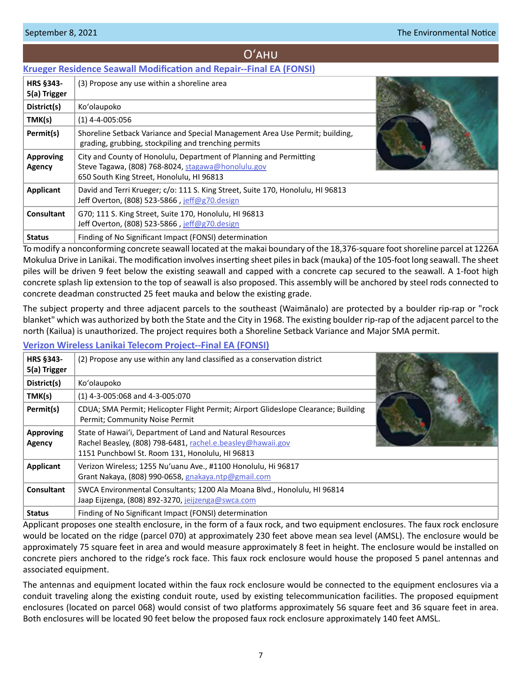# Oʻahu

# <span id="page-6-0"></span>**[Krueger Residence Seawall Modification and Repair--Final EA \(FONSI\)](http://oeqc2.doh.hawaii.gov/Doc_Library/2021-09-08-OA-FEA-Krueger-Residence-Seawall-Modification-and-Repair.pdf)**

| <b>HRS §343-</b><br>5(a) Trigger | (3) Propose any use within a shoreline area                                                                                                                           |  |
|----------------------------------|-----------------------------------------------------------------------------------------------------------------------------------------------------------------------|--|
| District(s)                      | Ko'olaupoko                                                                                                                                                           |  |
| TMK(s)                           | $(1)$ 4-4-005:056                                                                                                                                                     |  |
| Permit(s)                        | Shoreline Setback Variance and Special Management Area Use Permit; building,<br>grading, grubbing, stockpiling and trenching permits                                  |  |
| <b>Approving</b><br>Agency       | City and County of Honolulu, Department of Planning and Permitting<br>Steve Tagawa, (808) 768-8024, stagawa@honolulu.gov<br>650 South King Street, Honolulu, HI 96813 |  |
| <b>Applicant</b>                 | David and Terri Krueger; c/o: 111 S. King Street, Suite 170, Honolulu, HI 96813<br>Jeff Overton, (808) 523-5866, jeff@g70.design                                      |  |
| <b>Consultant</b>                | G70; 111 S. King Street, Suite 170, Honolulu, HI 96813<br>Jeff Overton, (808) 523-5866, jeff@g70.design                                                               |  |
| <b>Status</b>                    | Finding of No Significant Impact (FONSI) determination                                                                                                                |  |

To modify a nonconforming concrete seawall located at the makai boundary of the 18,376-square foot shoreline parcel at 1226A Mokulua Drive in Lanikai. The modification involves inserting sheet piles in back (mauka) of the 105-foot long seawall. The sheet piles will be driven 9 feet below the existing seawall and capped with a concrete cap secured to the seawall. A 1-foot high concrete splash lip extension to the top of seawall is also proposed. This assembly will be anchored by steel rods connected to concrete deadman constructed 25 feet mauka and below the existing grade.

The subject property and three adjacent parcels to the southeast (Waimānalo) are protected by a boulder rip-rap or "rock blanket" which was authorized by both the State and the City in 1968. The existing boulder rip-rap of the adjacent parcel to the north (Kailua) is unauthorized. The project requires both a Shoreline Setback Variance and Major SMA permit.

## **[Verizon Wireless Lanikai Telecom Project--Final EA \(FONSI\)](http://oeqc2.doh.hawaii.gov/Doc_Library/2021-09-08-OA-FEA-Verizon-Wireless-Lanikai-Telecom-Project.pdf)**

| HRS §343-<br>5(a) Trigger  | (2) Propose any use within any land classified as a conservation district                                                                                                    |  |
|----------------------------|------------------------------------------------------------------------------------------------------------------------------------------------------------------------------|--|
| District(s)                | Ko'olaupoko                                                                                                                                                                  |  |
| TMK(s)                     | (1) 4-3-005:068 and 4-3-005:070                                                                                                                                              |  |
| Permit(s)                  | CDUA; SMA Permit; Helicopter Flight Permit; Airport Glideslope Clearance; Building<br>Permit; Community Noise Permit                                                         |  |
| <b>Approving</b><br>Agency | State of Hawai'i, Department of Land and Natural Resources<br>Rachel Beasley, (808) 798-6481, rachel.e.beasley@hawaii.gov<br>1151 Punchbowl St. Room 131, Honolulu, HI 96813 |  |
| Applicant                  | Verizon Wireless; 1255 Nu'uanu Ave., #1100 Honolulu, Hi 96817<br>Grant Nakaya, (808) 990-0658, gnakaya.ntp@gmail.com                                                         |  |
| Consultant                 | SWCA Environmental Consultants; 1200 Ala Moana Blvd., Honolulu, HI 96814<br>Jaap Eijzenga, (808) 892-3270, jeijzenga@swca.com                                                |  |
| <b>Status</b>              | Finding of No Significant Impact (FONSI) determination                                                                                                                       |  |

Applicant proposes one stealth enclosure, in the form of a faux rock, and two equipment enclosures. The faux rock enclosure would be located on the ridge (parcel 070) at approximately 230 feet above mean sea level (AMSL). The enclosure would be approximately 75 square feet in area and would measure approximately 8 feet in height. The enclosure would be installed on concrete piers anchored to the ridge's rock face. This faux rock enclosure would house the proposed 5 panel antennas and associated equipment.

The antennas and equipment located within the faux rock enclosure would be connected to the equipment enclosures via a conduit traveling along the existing conduit route, used by existing telecommunication facilities. The proposed equipment enclosures (located on parcel 068) would consist of two platforms approximately 56 square feet and 36 square feet in area. Both enclosures will be located 90 feet below the proposed faux rock enclosure approximately 140 feet AMSL.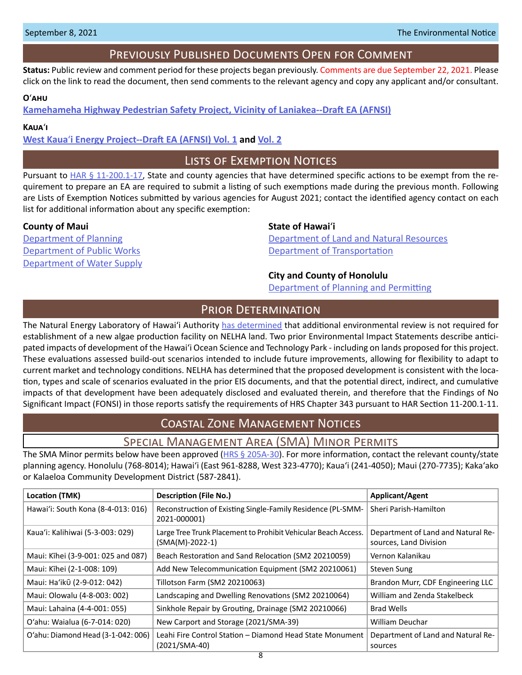# Previously Published Documents Open for Comment

<span id="page-7-0"></span>**Status:** Public review and comment period for these projects began previously. Comments are due September 22, 2021. Please click on the link to read the document, then send comments to the relevant agency and copy any applicant and/or consultant.

#### **O**ʻ**ahu**

**[Kamehameha Highway Pedestrian Safety Project, Vicinity of Laniakea--Draft EA \(AFNSI\)](http://oeqc2.doh.hawaii.gov/Doc_Library/2021-08-23-OA-DEA-Kamehameha-Highway-Pedestrian-Safety-Project-near-Laniakea.pdf)**

#### **Kaua**ʻ**i**

**West Kaua**ʻ**[i Energy Project--Draft EA \(AFNSI\) Vol. 1](http://oeqc2.doh.hawaii.gov/Doc_Library/2021-08-23-KA-DEA-West-Kauai-Energy-Project-Vol-1.pdf) and [Vol. 2](http://oeqc2.doh.hawaii.gov/Doc_Library/2021-08-23-KA-DEA-West-Kauai-Energy-Project-Vol-2.pdf)**

# Lists of Exemption Notices

Pursuant to [HAR § 11-200.1-17](https://health.hawaii.gov/opppd/files/2019/08/11-200.1.pdf), State and county agencies that have determined specific actions to be exempt from the requirement to prepare an EA are required to submit a listing of such exemptions made during the previous month. Following are Lists of Exemption Notices submitted by various agencies for August 2021; contact the identified agency contact on each list for additional information about any specific exemption:

#### **County of Maui State of Hawai**<sup>'</sup>i

[Department of Water Supply](http://oeqc2.doh.hawaii.gov/List_Ex_Notice/2021-09-08-COM-DWS-List-of-Exemptions-Aug-2021.pdf)

[Department of Planning](http://oeqc2.doh.hawaii.gov/List_Ex_Notice/2021-09-08-COM-Planning-Department-List-of-Exemptions-Aug-2021.pdf) [Department of Land and Natural Resources](http://oeqc2.doh.hawaii.gov/List_Ex_Notice/2021-09-08-SOH-DLNR-List-of-Exemptions-Aug-2021.pdf) [Department of Pu](http://oeqc2.doh.hawaii.gov/List_Ex_Notice/2021-09-08-COM-DPW-List-of-Exemptions-Aug-2021.pdf)blic Works **[Department of Transportation](http://oeqc2.doh.hawaii.gov/List_Ex_Notice/2021-09-08-SOH-DOT-List-of-Exemptions-Aug-2021.pdf)** 

#### **City and County of Honolulu**

[Department of Planning](http://oeqc2.doh.hawaii.gov/List_Ex_Notice/2021-09-08-CCH-DPP-List-of-Exemptions-Aug-2021.pdf) and Permitting

# PRIOR DETERMINATION

The Natural Energy Laboratory of Hawaiʻi Authority [has determined](http://oeqc2.doh.hawaii.gov/Other_TEN_Publications/2021-09-08-HA-Prior-Determination-Blue-Ocean-Barns-Algae.pdf) that additional environmental review is not required for establishment of a new algae production facility on NELHA land. Two prior Environmental Impact Statements describe anticipated impacts of development of the Hawaiʻi Ocean Science and Technology Park - including on lands proposed for this project. These evaluations assessed build-out scenarios intended to include future improvements, allowing for flexibility to adapt to current market and technology conditions. NELHA has determined that the proposed development is consistent with the location, types and scale of scenarios evaluated in the prior EIS documents, and that the potential direct, indirect, and cumulative impacts of that development have been adequately disclosed and evaluated therein, and therefore that the Findings of No Significant Impact (FONSI) in those reports satisfy the requirements of HRS Chapter 343 pursuant to HAR Section 11-200.1-11.

# Coastal Zone Management Notices

# Special Management Area (SMA) Minor Permits

The SMA Minor permits below have been approved ( $HRS \S 205A-30$ ). For more information, contact the relevant county/state planning agency. Honolulu (768-8014); Hawaiʻi (East 961-8288, West 323-4770); Kauaʻi (241-4050); Maui (270-7735); Kakaʻako or Kalaeloa Community Development District (587-2841).

| Location (TMK)                     | Description (File No.)                                                              | Applicant/Agent                                              |
|------------------------------------|-------------------------------------------------------------------------------------|--------------------------------------------------------------|
| Hawai'i: South Kona (8-4-013: 016) | Reconstruction of Existing Single-Family Residence (PL-SMM-<br>2021-000001)         | Sheri Parish-Hamilton                                        |
| Kaua'i: Kalihiwai (5-3-003: 029)   | Large Tree Trunk Placement to Prohibit Vehicular Beach Access.<br>$(SMA(M)-2022-1)$ | Department of Land and Natural Re-<br>sources, Land Division |
| Maui: Kīhei (3-9-001: 025 and 087) | Beach Restoration and Sand Relocation (SM2 20210059)                                | Vernon Kalanikau                                             |
| Maui: Kīhei (2-1-008: 109)         | Add New Telecommunication Equipment (SM2 20210061)                                  | Steven Sung                                                  |
| Maui: Ha'ikū (2-9-012: 042)        | Tillotson Farm (SM2 20210063)                                                       | Brandon Murr, CDF Engineering LLC                            |
| Maui: Olowalu (4-8-003: 002)       | Landscaping and Dwelling Renovations (SM2 20210064)                                 | William and Zenda Stakelbeck                                 |
| Maui: Lahaina (4-4-001: 055)       | Sinkhole Repair by Grouting, Drainage (SM2 20210066)                                | <b>Brad Wells</b>                                            |
| O'ahu: Waialua (6-7-014: 020)      | New Carport and Storage (2021/SMA-39)                                               | William Deuchar                                              |
| O'ahu: Diamond Head (3-1-042: 006) | Leahi Fire Control Station - Diamond Head State Monument<br>$(2021/SMA-40)$         | Department of Land and Natural Re-<br>sources                |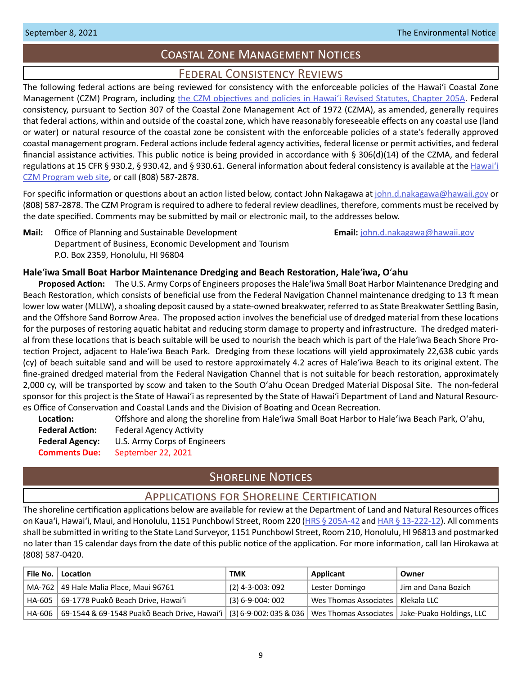# Coastal Zone Management Notices

# Federal Consistency Reviews

<span id="page-8-0"></span>The following federal actions are being reviewed for consistency with the enforceable policies of the Hawaiʻi Coastal Zone Management (CZM) Program, including [the CZM objectives and policies in Hawaiʻi Revised Statutes, Chapter 205A.](https://www.capitol.hawaii.gov/hrscurrent/Vol04_Ch0201-0257/HRS0205A/HRS_0205A-0002.htm) Federal consistency, pursuant to Section 307 of the Coastal Zone Management Act of 1972 (CZMA), as amended, generally requires that federal actions, within and outside of the coastal zone, which have reasonably foreseeable effects on any coastal use (land or water) or natural resource of the coastal zone be consistent with the enforceable policies of a state's federally approved coastal management program. Federal actions include federal agency activities, federal license or permit activities, and federal financial assistance activities. This public notice is being provided in accordance with § 306(d)(14) of the CZMA, and federal regulations at 15 CFR § 930.2, § 930.42, and § 930.61. General information about federal consistency is available at the [Hawai](http://planning.hawaii.gov/czm/federal-consistency/)ʻi [CZM Program web site,](http://planning.hawaii.gov/czm/federal-consistency/) or call (808) 587-2878.

For specific information or questions about an action listed below, contact John Nakagawa at [john.d.nakagawa@hawaii.gov](mailto:john.d.nakagawa%40hawaii.gov?subject=) or (808) 587-2878. The CZM Program is required to adhere to federal review deadlines, therefore, comments must be received by the date specified. Comments may be submitted by mail or electronic mail, to the addresses below.

**Mail:** Office of Planning and Sustainable Development **Email:** [john.d.nakagawa@hawaii.gov](mailto:john.d.nakagawa@hawaii.gov) Department of Business, Economic Development and Tourism P.O. Box 2359, Honolulu, HI 96804

#### **Hale**ʻ**iwa Small Boat Harbor Maintenance Dredging and Beach Restoration, Hale**ʻ**iwa, O**ʻ**ahu**

**Proposed Action:** The U.S. Army Corps of Engineers proposes the Haleʻiwa Small Boat Harbor Maintenance Dredging and Beach Restoration, which consists of beneficial use from the Federal Navigation Channel maintenance dredging to 13 ft mean lower low water (MLLW), a shoaling deposit caused by a state-owned breakwater, referred to as State Breakwater Settling Basin, and the Offshore Sand Borrow Area. The proposed action involves the beneficial use of dredged material from these locations for the purposes of restoring aquatic habitat and reducing storm damage to property and infrastructure. The dredged material from these locations that is beach suitable will be used to nourish the beach which is part of the Haleʻiwa Beach Shore Protection Project, adjacent to Haleʻiwa Beach Park. Dredging from these locations will yield approximately 22,638 cubic yards (cy) of beach suitable sand and will be used to restore approximately 4.2 acres of Haleʻiwa Beach to its original extent. The fine-grained dredged material from the Federal Navigation Channel that is not suitable for beach restoration, approximately 2,000 cy, will be transported by scow and taken to the South Oʻahu Ocean Dredged Material Disposal Site. The non-federal sponsor for this project is the State of Hawaiʻi as represented by the State of Hawaiʻi Department of Land and Natural Resources Office of Conservation and Coastal Lands and the Division of Boating and Ocean Recreation.

| Location:              | Offshore and along the shoreline from Hale'iwa Small Boat Harbor to Hale'iwa Beach Park, O'ahu, |
|------------------------|-------------------------------------------------------------------------------------------------|
| <b>Federal Action:</b> | Federal Agency Activity                                                                         |
| <b>Federal Agency:</b> | U.S. Army Corps of Engineers                                                                    |
| <b>Comments Due:</b>   | September 22, 2021                                                                              |

# **SHORELINE NOTICES**

#### Applications for Shoreline Certification

The shoreline certification applications below are available for review at the Department of Land and Natural Resources offices on Kaua'i, Hawai'i, Maui, and Honolulu, 1151 Punchbowl Street, Room 220 ([HRS § 205A-42](https://www.capitol.hawaii.gov/hrscurrent/Vol04_Ch0201-0257/HRS0205A/HRS_0205A-0042.htm) and [HAR § 13-222-12\)](https://dlnr.hawaii.gov/ld/files/2013/07/Ch13-222-Amend-Compil-Stand-Rev1.pdf). All comments shall be submitted in writing to the State Land Surveyor, 1151 Punchbowl Street, Room 210, Honolulu, HI 96813 and postmarked no later than 15 calendar days from the date of this public notice of the application. For more information, call Ian Hirokawa at (808) 587-0420.

| File No.   Location                                                                                                               | тмк                   | Applicant                           | Owner               |
|-----------------------------------------------------------------------------------------------------------------------------------|-----------------------|-------------------------------------|---------------------|
| MA-762   49 Hale Malia Place, Maui 96761                                                                                          | $(2)$ 4-3-003: 092    | Lester Domingo                      | Uim and Dana Bozich |
| HA-605   69-1778 Puakō Beach Drive, Hawai'i                                                                                       | $(3) 6 - 9 - 004:002$ | Wes Thomas Associates   Klekala LLC |                     |
| HA-606   69-1544 & 69-1548 Puakō Beach Drive, Hawai'i   (3) 6-9-002: 035 & 036   Wes Thomas Associates   Jake-Puako Holdings, LLC |                       |                                     |                     |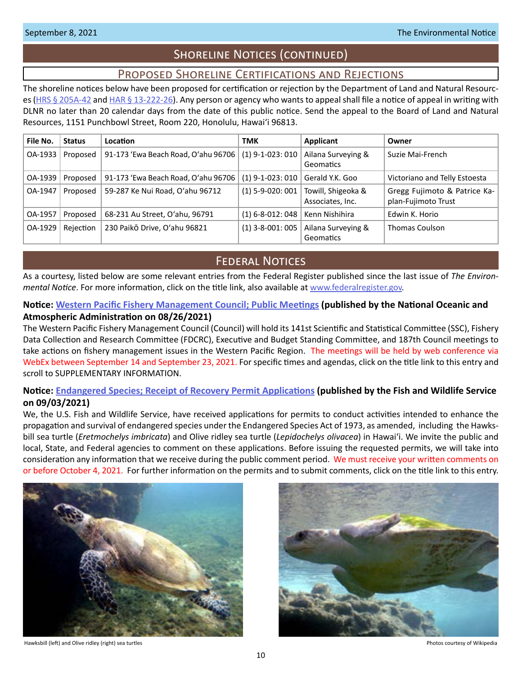# Shoreline Notices (continued)

# Proposed Shoreline Certifications and Rejections

<span id="page-9-0"></span>The shoreline notices below have been proposed for certification or rejection by the Department of Land and Natural Resourc-es [\(HRS § 205A-42](http://HRS § 205A-42) and [HAR § 13-222-26\)](https://dlnr.hawaii.gov/ld/files/2013/07/Ch13-222-Amend-Compil-Stand-Rev1.pdf). Any person or agency who wants to appeal shall file a notice of appeal in writing with DLNR no later than 20 calendar days from the date of this public notice. Send the appeal to the Board of Land and Natural Resources, 1151 Punchbowl Street, Room 220, Honolulu, Hawai'i 96813.

| File No. | <b>Status</b> | Location                            | <b>TMK</b>         | <b>Applicant</b>                       | Owner                                               |
|----------|---------------|-------------------------------------|--------------------|----------------------------------------|-----------------------------------------------------|
| OA-1933  | Proposed      | 91-173 'Ewa Beach Road, O'ahu 96706 | $(1)$ 9-1-023: 010 | Ailana Surveying &<br>Geomatics        | Suzie Mai-French                                    |
| OA-1939  | Proposed      | 91-173 'Ewa Beach Road, O'ahu 96706 | $(1)$ 9-1-023: 010 | Gerald Y.K. Goo                        | Victoriano and Telly Estoesta                       |
| OA-1947  | Proposed      | 59-287 Ke Nui Road, O'ahu 96712     | $(1)$ 5-9-020: 001 | Towill, Shigeoka &<br>Associates, Inc. | Gregg Fujimoto & Patrice Ka-<br>plan-Fujimoto Trust |
| OA-1957  | Proposed      | 68-231 Au Street, O'ahu, 96791      | $(1)$ 6-8-012: 048 | Kenn Nishihira                         | Edwin K. Horio                                      |
| OA-1929  | Rejection     | 230 Paikō Drive, O'ahu 96821        | $(1)$ 3-8-001: 005 | Ailana Surveying &<br>Geomatics        | <b>Thomas Coulson</b>                               |

# **FEDERAL NOTICES**

As a courtesy, listed below are some relevant entries from the Federal Register published since the last issue of *The Environmental Notice*. For more information, click on the title link, also available at [www.federalregister.gov](http://www.federalregister.gov).

# **Notice: [Western Pacific Fishery Management Council; Public Meetings](https://www.federalregister.gov/documents/2021/08/26/2021-18409/western-pacific-fishery-management-council-public-meetings) (published by the National Oceanic and Atmospheric Administration on 08/26/2021)**

The Western Pacific Fishery Management Council (Council) will hold its 141st Scientific and Statistical Committee (SSC), Fishery Data Collection and Research Committee (FDCRC), Executive and Budget Standing Committee, and 187th Council meetings to take actions on fishery management issues in the Western Pacific Region. The meetings will be held by web conference via WebEx between September 14 and September 23, 2021. For specific times and agendas, click on the title link to this entry and scroll to SUPPLEMENTARY INFORMATION.

# **Notice: [Endangered Species; Receipt of Recovery Permit Applications](https://www.federalregister.gov/documents/2021/09/03/2021-19136/endangered-species-receipt-of-recovery-permit-applications) (published by the Fish and Wildlife Service on 09/03/2021)**

We, the U.S. Fish and Wildlife Service, have received applications for permits to conduct activities intended to enhance the propagation and survival of endangered species under the Endangered Species Act of 1973, as amended, including the Hawksbill sea turtle (*Eretmochelys imbricata*) and Olive ridley sea turtle (*Lepidochelys olivacea*) in Hawaiʻi. We invite the public and local, State, and Federal agencies to comment on these applications. Before issuing the requested permits, we will take into consideration any information that we receive during the public comment period. We must receive your written comments on or before October 4, 2021. For further information on the permits and to submit comments, click on the title link to this entry.



Hawksbill (left) and Olive ridley (right) sea turtles **Photos courtesy of Wikipedia** Photos courtesy of Wikipedia